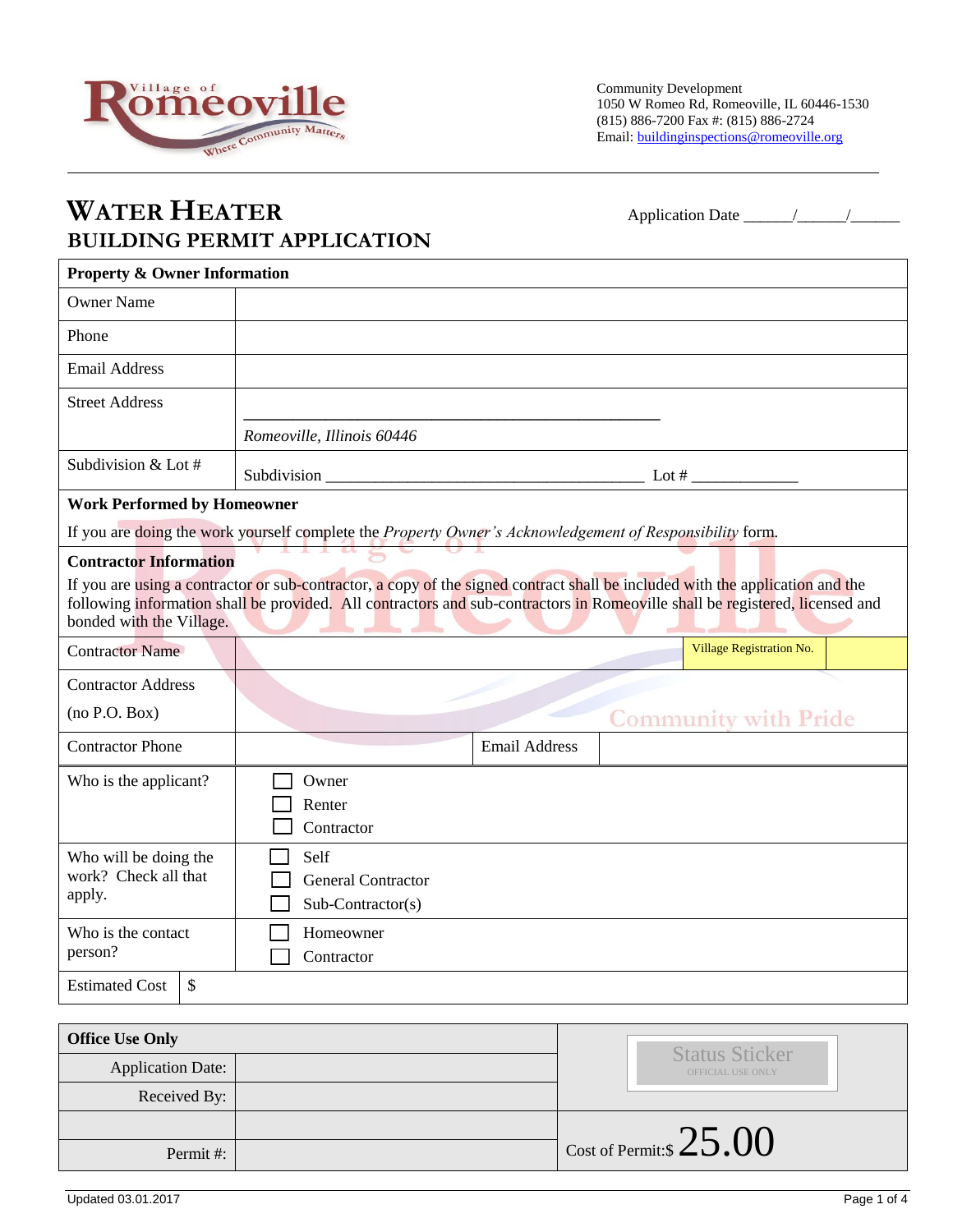

## **WATER HEATER** Application Date \_\_\_\_\_\_/\_\_\_\_\_\_/\_\_\_\_\_\_ **BUILDING PERMIT APPLICATION**

| <b>Property &amp; Owner Information</b>                                                                                                                                                                                                                                                                                                                                                                                                                                                                                                                      |                                                                                                          |  |  |  |
|--------------------------------------------------------------------------------------------------------------------------------------------------------------------------------------------------------------------------------------------------------------------------------------------------------------------------------------------------------------------------------------------------------------------------------------------------------------------------------------------------------------------------------------------------------------|----------------------------------------------------------------------------------------------------------|--|--|--|
| <b>Owner Name</b>                                                                                                                                                                                                                                                                                                                                                                                                                                                                                                                                            |                                                                                                          |  |  |  |
| Phone                                                                                                                                                                                                                                                                                                                                                                                                                                                                                                                                                        |                                                                                                          |  |  |  |
| <b>Email Address</b>                                                                                                                                                                                                                                                                                                                                                                                                                                                                                                                                         |                                                                                                          |  |  |  |
| <b>Street Address</b>                                                                                                                                                                                                                                                                                                                                                                                                                                                                                                                                        |                                                                                                          |  |  |  |
|                                                                                                                                                                                                                                                                                                                                                                                                                                                                                                                                                              | Romeoville, Illinois 60446                                                                               |  |  |  |
| Subdivision & Lot #                                                                                                                                                                                                                                                                                                                                                                                                                                                                                                                                          |                                                                                                          |  |  |  |
| <b>Work Performed by Homeowner</b>                                                                                                                                                                                                                                                                                                                                                                                                                                                                                                                           |                                                                                                          |  |  |  |
|                                                                                                                                                                                                                                                                                                                                                                                                                                                                                                                                                              | If you are doing the work yourself complete the Property Owner's Acknowledgement of Responsibility form. |  |  |  |
| <b>Contractor Information</b><br>If you are using a contractor or sub-contractor, a copy of the signed contract shall be included with the application and the<br>following information shall be provided. All contractors and sub-contractors in Romeoville shall be registered, licensed and<br>bonded with the Village.<br>and the second control of the second second second second second second second second second second second second second second second second second second second second second second second second second second second sec |                                                                                                          |  |  |  |
| <b>Contractor Name</b>                                                                                                                                                                                                                                                                                                                                                                                                                                                                                                                                       | Village Registration No.                                                                                 |  |  |  |
| <b>Contractor Address</b>                                                                                                                                                                                                                                                                                                                                                                                                                                                                                                                                    |                                                                                                          |  |  |  |
| (no P.O. Box)                                                                                                                                                                                                                                                                                                                                                                                                                                                                                                                                                | <b>Community with Pride</b>                                                                              |  |  |  |
| <b>Contractor Phone</b>                                                                                                                                                                                                                                                                                                                                                                                                                                                                                                                                      | <b>Email Address</b>                                                                                     |  |  |  |
| Who is the applicant?                                                                                                                                                                                                                                                                                                                                                                                                                                                                                                                                        | Owner<br>Renter<br>Contractor                                                                            |  |  |  |
| Who will be doing the<br>work? Check all that<br>apply.                                                                                                                                                                                                                                                                                                                                                                                                                                                                                                      | Self<br><b>General Contractor</b><br>$Sub-Contractor(s)$                                                 |  |  |  |
| Who is the contact<br>person?                                                                                                                                                                                                                                                                                                                                                                                                                                                                                                                                | Homeowner<br>Contractor                                                                                  |  |  |  |
| <b>Estimated Cost</b><br>\$                                                                                                                                                                                                                                                                                                                                                                                                                                                                                                                                  |                                                                                                          |  |  |  |

| <b>Office Use Only</b> |  | <b>Status Sticker</b>     |
|------------------------|--|---------------------------|
| Application Date:      |  | OFFICIAL USE ONLY         |
| Received By:           |  |                           |
|                        |  |                           |
| Permit#:               |  | Cost of Permit:\$ $25.00$ |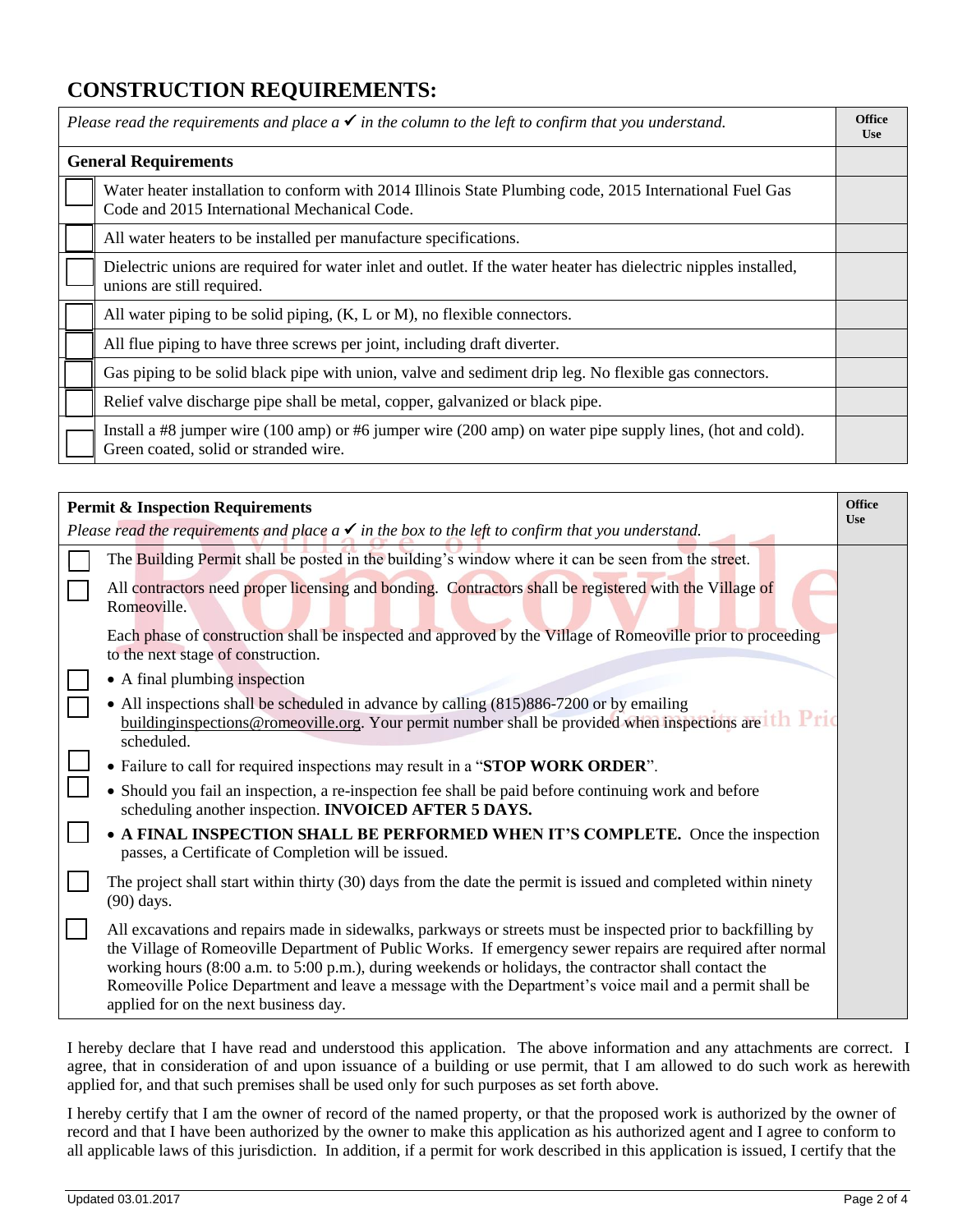## **CONSTRUCTION REQUIREMENTS:**

| <b>Office</b><br>Please read the requirements and place $a \checkmark$ in the column to the left to confirm that you understand.<br><b>Use</b> |                                                                                                                                                          |  |
|------------------------------------------------------------------------------------------------------------------------------------------------|----------------------------------------------------------------------------------------------------------------------------------------------------------|--|
| <b>General Requirements</b>                                                                                                                    |                                                                                                                                                          |  |
|                                                                                                                                                | Water heater installation to conform with 2014 Illinois State Plumbing code, 2015 International Fuel Gas<br>Code and 2015 International Mechanical Code. |  |
|                                                                                                                                                | All water heaters to be installed per manufacture specifications.                                                                                        |  |
|                                                                                                                                                | Dielectric unions are required for water inlet and outlet. If the water heater has dielectric nipples installed,<br>unions are still required.           |  |
|                                                                                                                                                | All water piping to be solid piping, $(K, L \text{ or } M)$ , no flexible connectors.                                                                    |  |
|                                                                                                                                                | All flue piping to have three screws per joint, including draft diverter.                                                                                |  |
|                                                                                                                                                | Gas piping to be solid black pipe with union, valve and sediment drip leg. No flexible gas connectors.                                                   |  |
|                                                                                                                                                | Relief valve discharge pipe shall be metal, copper, galvanized or black pipe.                                                                            |  |
|                                                                                                                                                | Install a #8 jumper wire (100 amp) or #6 jumper wire (200 amp) on water pipe supply lines, (hot and cold).<br>Green coated, solid or stranded wire.      |  |

| <b>Permit &amp; Inspection Requirements</b>                                                                                |                                                                                                                                                                                                                                                                                                                                                                                                                                                                                         |  |
|----------------------------------------------------------------------------------------------------------------------------|-----------------------------------------------------------------------------------------------------------------------------------------------------------------------------------------------------------------------------------------------------------------------------------------------------------------------------------------------------------------------------------------------------------------------------------------------------------------------------------------|--|
| <b>Use</b><br>Please read the requirements and place $a \checkmark$ in the box to the left to confirm that you understand. |                                                                                                                                                                                                                                                                                                                                                                                                                                                                                         |  |
|                                                                                                                            | The Building Permit shall be posted in the building's window where it can be seen from the street.                                                                                                                                                                                                                                                                                                                                                                                      |  |
|                                                                                                                            | All contractors need proper licensing and bonding. Contractors shall be registered with the Village of<br>Romeoville.                                                                                                                                                                                                                                                                                                                                                                   |  |
|                                                                                                                            | Each phase of construction shall be inspected and approved by the Village of Romeoville prior to proceeding<br>to the next stage of construction.                                                                                                                                                                                                                                                                                                                                       |  |
|                                                                                                                            | • A final plumbing inspection                                                                                                                                                                                                                                                                                                                                                                                                                                                           |  |
|                                                                                                                            | • All inspections shall be scheduled in advance by calling (815)886-7200 or by emailing<br>buildinginspections@romeoville.org. Your permit number shall be provided when inspections are the Price<br>scheduled.                                                                                                                                                                                                                                                                        |  |
|                                                                                                                            | • Failure to call for required inspections may result in a "STOP WORK ORDER".                                                                                                                                                                                                                                                                                                                                                                                                           |  |
|                                                                                                                            | • Should you fail an inspection, a re-inspection fee shall be paid before continuing work and before<br>scheduling another inspection. INVOICED AFTER 5 DAYS.                                                                                                                                                                                                                                                                                                                           |  |
|                                                                                                                            | • A FINAL INSPECTION SHALL BE PERFORMED WHEN IT'S COMPLETE. Once the inspection<br>passes, a Certificate of Completion will be issued.                                                                                                                                                                                                                                                                                                                                                  |  |
|                                                                                                                            | The project shall start within thirty (30) days from the date the permit is issued and completed within ninety<br>$(90)$ days.                                                                                                                                                                                                                                                                                                                                                          |  |
|                                                                                                                            | All excavations and repairs made in sidewalks, parkways or streets must be inspected prior to backfilling by<br>the Village of Romeoville Department of Public Works. If emergency sewer repairs are required after normal<br>working hours (8:00 a.m. to 5:00 p.m.), during weekends or holidays, the contractor shall contact the<br>Romeoville Police Department and leave a message with the Department's voice mail and a permit shall be<br>applied for on the next business day. |  |

I hereby declare that I have read and understood this application. The above information and any attachments are correct. I agree, that in consideration of and upon issuance of a building or use permit, that I am allowed to do such work as herewith applied for, and that such premises shall be used only for such purposes as set forth above.

I hereby certify that I am the owner of record of the named property, or that the proposed work is authorized by the owner of record and that I have been authorized by the owner to make this application as his authorized agent and I agree to conform to all applicable laws of this jurisdiction. In addition, if a permit for work described in this application is issued, I certify that the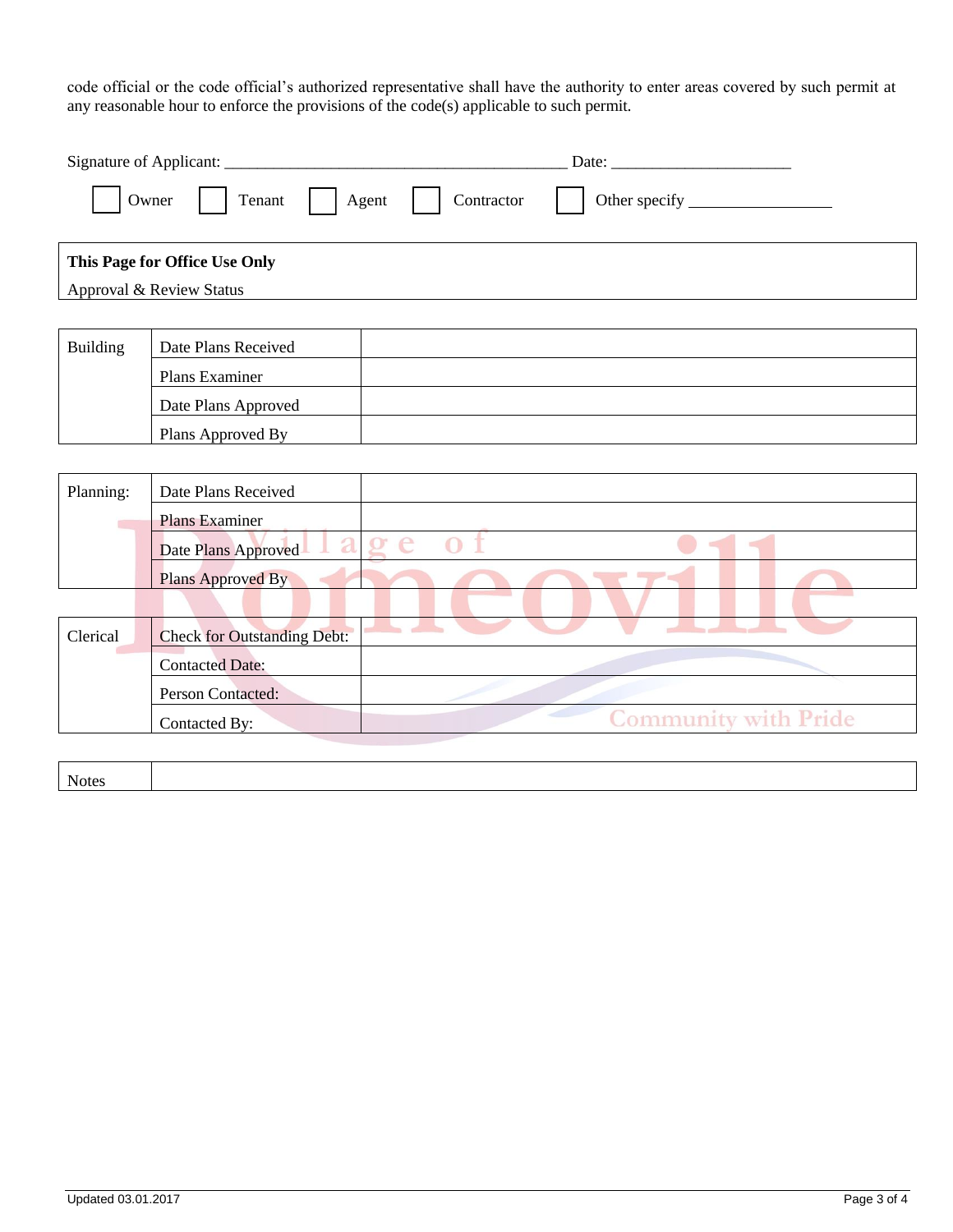code official or the code official's authorized representative shall have the authority to enter areas covered by such permit at any reasonable hour to enforce the provisions of the code(s) applicable to such permit.

| Owner<br>Tenant<br>Agent<br>Contractor |                                                   |  |  |  |  |
|----------------------------------------|---------------------------------------------------|--|--|--|--|
|                                        | This Page for Office Use Only                     |  |  |  |  |
|                                        | Approval & Review Status                          |  |  |  |  |
|                                        |                                                   |  |  |  |  |
| <b>Building</b>                        | Date Plans Received                               |  |  |  |  |
|                                        | Plans Examiner                                    |  |  |  |  |
|                                        | Date Plans Approved                               |  |  |  |  |
|                                        | Plans Approved By                                 |  |  |  |  |
|                                        |                                                   |  |  |  |  |
| Planning:                              | Date Plans Received                               |  |  |  |  |
| <b>COL</b>                             | <b>Plans Examiner</b>                             |  |  |  |  |
|                                        | age<br>Date Plans Approved                        |  |  |  |  |
|                                        | Plans Approved By                                 |  |  |  |  |
|                                        |                                                   |  |  |  |  |
| Clerical                               | <u>an a</u><br><b>Check for Outstanding Debt:</b> |  |  |  |  |
|                                        | <b>Contacted Date:</b>                            |  |  |  |  |
|                                        | Person Contacted:                                 |  |  |  |  |
|                                        | <b>Community with Pride</b><br>Contacted By:      |  |  |  |  |

Notes